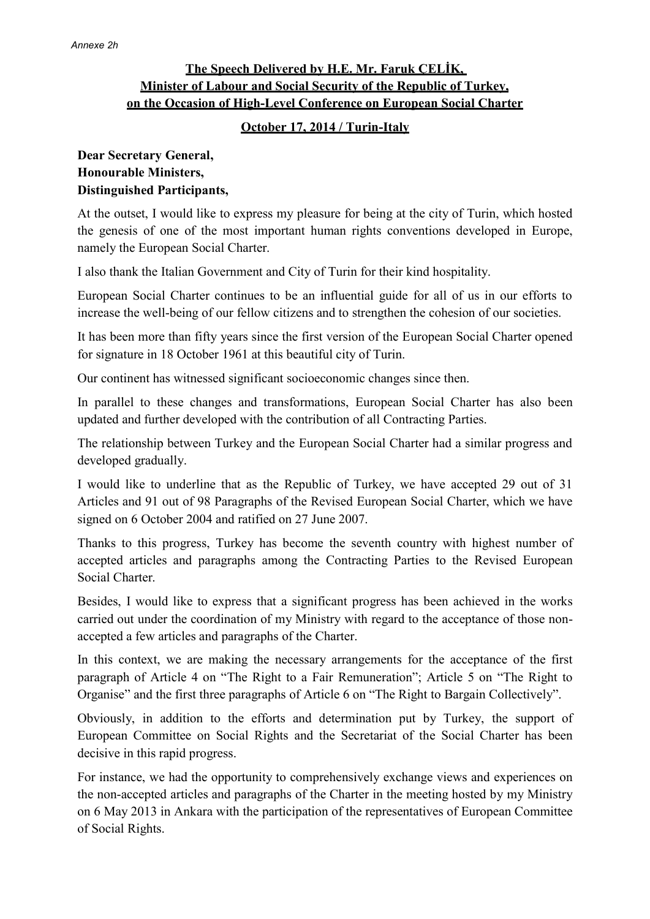## **The Speech Delivered by H.E. Mr. Faruk ÇELİK, Minister of Labour and Social Security of the Republic of Turkey, on the Occasion of High-Level Conference on European Social Charter**

#### **October 17, 2014 / Turin-Italy**

### **Dear Secretary General, Honourable Ministers, Distinguished Participants,**

At the outset, I would like to express my pleasure for being at the city of Turin, which hosted the genesis of one of the most important human rights conventions developed in Europe, namely the European Social Charter.

I also thank the Italian Government and City of Turin for their kind hospitality.

European Social Charter continues to be an influential guide for all of us in our efforts to increase the well-being of our fellow citizens and to strengthen the cohesion of our societies.

It has been more than fifty years since the first version of the European Social Charter opened for signature in 18 October 1961 at this beautiful city of Turin.

Our continent has witnessed significant socioeconomic changes since then.

In parallel to these changes and transformations, European Social Charter has also been updated and further developed with the contribution of all Contracting Parties.

The relationship between Turkey and the European Social Charter had a similar progress and developed gradually.

I would like to underline that as the Republic of Turkey, we have accepted 29 out of 31 Articles and 91 out of 98 Paragraphs of the Revised European Social Charter, which we have signed on 6 October 2004 and ratified on 27 June 2007.

Thanks to this progress, Turkey has become the seventh country with highest number of accepted articles and paragraphs among the Contracting Parties to the Revised European Social Charter.

Besides, I would like to express that a significant progress has been achieved in the works carried out under the coordination of my Ministry with regard to the acceptance of those nonaccepted a few articles and paragraphs of the Charter.

In this context, we are making the necessary arrangements for the acceptance of the first paragraph of Article 4 on "The Right to a Fair Remuneration"; Article 5 on "The Right to Organise" and the first three paragraphs of Article 6 on "The Right to Bargain Collectively".

Obviously, in addition to the efforts and determination put by Turkey, the support of European Committee on Social Rights and the Secretariat of the Social Charter has been decisive in this rapid progress.

For instance, we had the opportunity to comprehensively exchange views and experiences on the non-accepted articles and paragraphs of the Charter in the meeting hosted by my Ministry on 6 May 2013 in Ankara with the participation of the representatives of European Committee of Social Rights.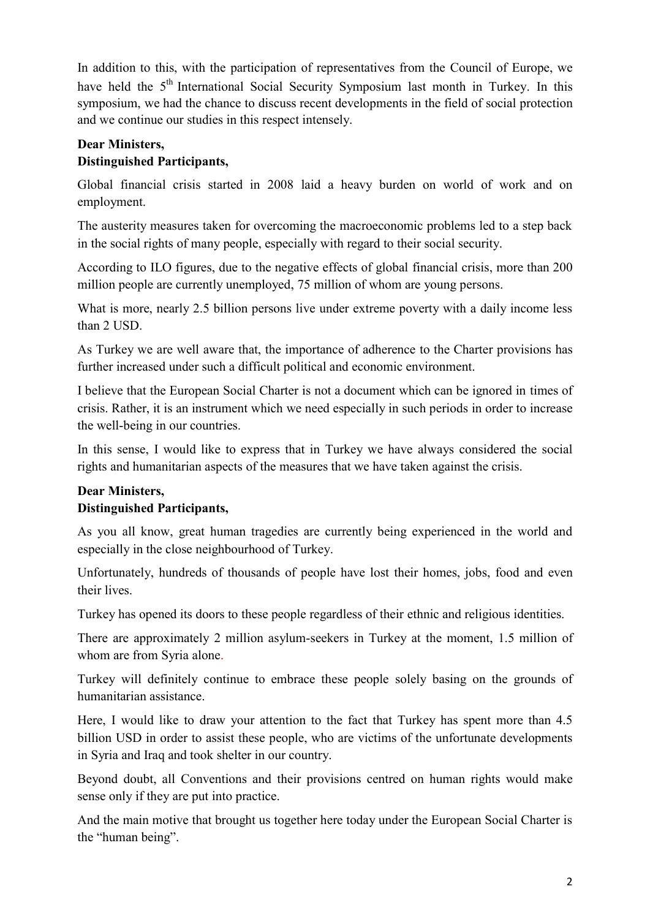In addition to this, with the participation of representatives from the Council of Europe, we have held the 5<sup>th</sup> International Social Security Symposium last month in Turkey. In this symposium, we had the chance to discuss recent developments in the field of social protection and we continue our studies in this respect intensely.

### **Dear Ministers,**

# **Distinguished Participants,**

Global financial crisis started in 2008 laid a heavy burden on world of work and on employment.

The austerity measures taken for overcoming the macroeconomic problems led to a step back in the social rights of many people, especially with regard to their social security.

According to ILO figures, due to the negative effects of global financial crisis, more than 200 million people are currently unemployed, 75 million of whom are young persons.

What is more, nearly 2.5 billion persons live under extreme poverty with a daily income less than 2 USD.

As Turkey we are well aware that, the importance of adherence to the Charter provisions has further increased under such a difficult political and economic environment.

I believe that the European Social Charter is not a document which can be ignored in times of crisis. Rather, it is an instrument which we need especially in such periods in order to increase the well-being in our countries.

In this sense, I would like to express that in Turkey we have always considered the social rights and humanitarian aspects of the measures that we have taken against the crisis.

### **Dear Ministers, Distinguished Participants,**

As you all know, great human tragedies are currently being experienced in the world and especially in the close neighbourhood of Turkey.

Unfortunately, hundreds of thousands of people have lost their homes, jobs, food and even their lives.

Turkey has opened its doors to these people regardless of their ethnic and religious identities.

There are approximately 2 million asylum-seekers in Turkey at the moment, 1.5 million of whom are from Syria alone.

Turkey will definitely continue to embrace these people solely basing on the grounds of humanitarian assistance.

Here, I would like to draw your attention to the fact that Turkey has spent more than 4.5 billion USD in order to assist these people, who are victims of the unfortunate developments in Syria and Iraq and took shelter in our country.

Beyond doubt, all Conventions and their provisions centred on human rights would make sense only if they are put into practice.

And the main motive that brought us together here today under the European Social Charter is the "human being".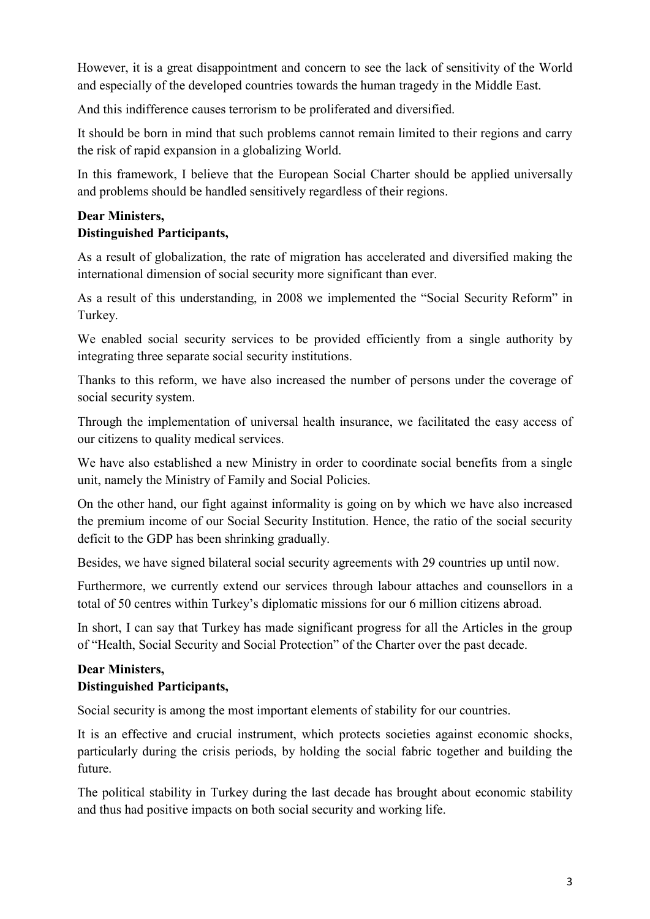However, it is a great disappointment and concern to see the lack of sensitivity of the World and especially of the developed countries towards the human tragedy in the Middle East.

And this indifference causes terrorism to be proliferated and diversified.

It should be born in mind that such problems cannot remain limited to their regions and carry the risk of rapid expansion in a globalizing World.

In this framework, I believe that the European Social Charter should be applied universally and problems should be handled sensitively regardless of their regions.

### **Dear Ministers, Distinguished Participants,**

As a result of globalization, the rate of migration has accelerated and diversified making the international dimension of social security more significant than ever.

As a result of this understanding, in 2008 we implemented the "Social Security Reform" in Turkey.

We enabled social security services to be provided efficiently from a single authority by integrating three separate social security institutions.

Thanks to this reform, we have also increased the number of persons under the coverage of social security system.

Through the implementation of universal health insurance, we facilitated the easy access of our citizens to quality medical services.

We have also established a new Ministry in order to coordinate social benefits from a single unit, namely the Ministry of Family and Social Policies.

On the other hand, our fight against informality is going on by which we have also increased the premium income of our Social Security Institution. Hence, the ratio of the social security deficit to the GDP has been shrinking gradually.

Besides, we have signed bilateral social security agreements with 29 countries up until now.

Furthermore, we currently extend our services through labour attaches and counsellors in a total of 50 centres within Turkey's diplomatic missions for our 6 million citizens abroad.

In short, I can say that Turkey has made significant progress for all the Articles in the group of "Health, Social Security and Social Protection" of the Charter over the past decade.

# **Dear Ministers, Distinguished Participants,**

Social security is among the most important elements of stability for our countries.

It is an effective and crucial instrument, which protects societies against economic shocks, particularly during the crisis periods, by holding the social fabric together and building the future.

The political stability in Turkey during the last decade has brought about economic stability and thus had positive impacts on both social security and working life.